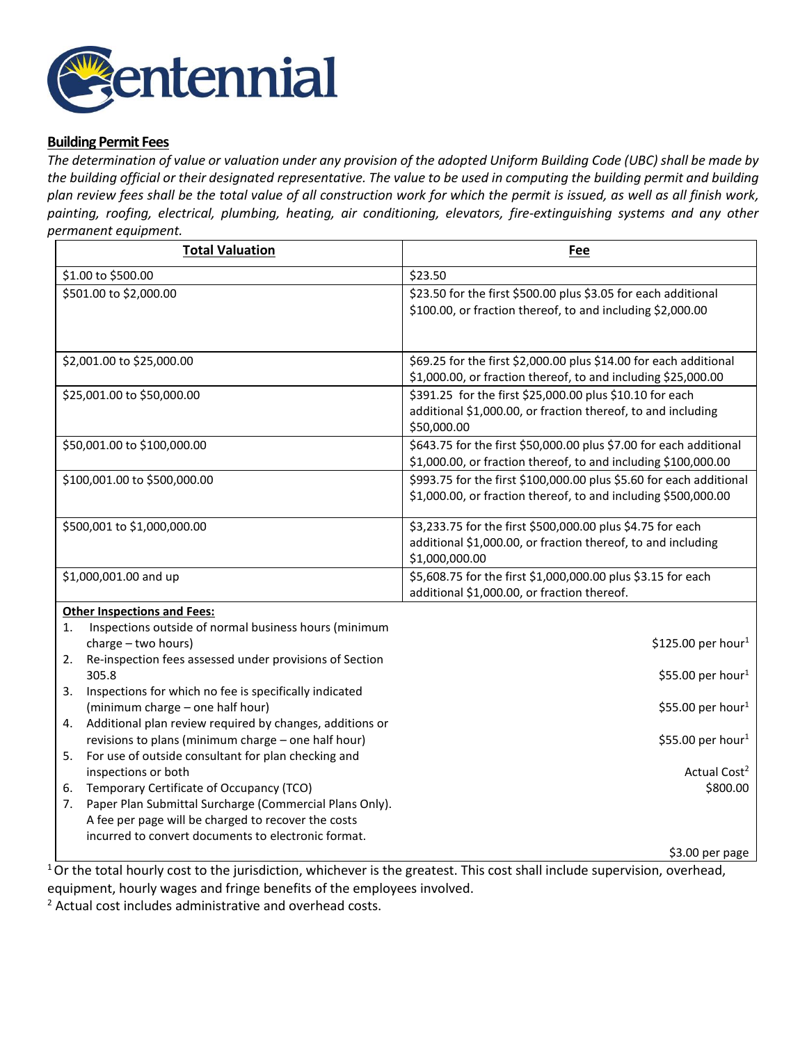

## **Building Permit Fees**

*The determination of value or valuation under any provision of the adopted Uniform Building Code (UBC) shall be made by the building official or their designated representative. The value to be used in computing the building permit and building plan review fees shall be the total value of all construction work for which the permit is issued, as well as all finish work, painting, roofing, electrical, plumbing, heating, air conditioning, elevators, fire-extinguishing systems and any other permanent equipment.*

| <b>Total Valuation</b>                                                                                                                                                                        | <b>Fee</b>                                                                                                                                   |  |
|-----------------------------------------------------------------------------------------------------------------------------------------------------------------------------------------------|----------------------------------------------------------------------------------------------------------------------------------------------|--|
| \$1.00 to \$500.00                                                                                                                                                                            | \$23.50                                                                                                                                      |  |
| \$501.00 to \$2,000.00                                                                                                                                                                        | \$23.50 for the first \$500.00 plus \$3.05 for each additional<br>\$100.00, or fraction thereof, to and including \$2,000.00                 |  |
| \$2,001.00 to \$25,000.00                                                                                                                                                                     | \$69.25 for the first \$2,000.00 plus \$14.00 for each additional<br>\$1,000.00, or fraction thereof, to and including \$25,000.00           |  |
| \$25,001.00 to \$50,000.00                                                                                                                                                                    | \$391.25 for the first \$25,000.00 plus \$10.10 for each<br>additional \$1,000.00, or fraction thereof, to and including<br>\$50,000.00      |  |
| \$50,001.00 to \$100,000.00                                                                                                                                                                   | \$643.75 for the first \$50,000.00 plus \$7.00 for each additional<br>\$1,000.00, or fraction thereof, to and including \$100,000.00         |  |
| \$100,001.00 to \$500,000.00                                                                                                                                                                  | \$993.75 for the first \$100,000.00 plus \$5.60 for each additional<br>\$1,000.00, or fraction thereof, to and including \$500,000.00        |  |
| \$500,001 to \$1,000,000.00                                                                                                                                                                   | \$3,233.75 for the first \$500,000.00 plus \$4.75 for each<br>additional \$1,000.00, or fraction thereof, to and including<br>\$1,000,000.00 |  |
| \$1,000,001.00 and up                                                                                                                                                                         | \$5,608.75 for the first \$1,000,000.00 plus \$3.15 for each<br>additional \$1,000.00, or fraction thereof.                                  |  |
| <b>Other Inspections and Fees:</b>                                                                                                                                                            |                                                                                                                                              |  |
| Inspections outside of normal business hours (minimum<br>1.<br>charge - two hours)<br>Re-inspection fees assessed under provisions of Section<br>2.                                           | \$125.00 per hour <sup>1</sup>                                                                                                               |  |
| 305.8<br>Inspections for which no fee is specifically indicated<br>3.                                                                                                                         | \$55.00 per hour <sup>1</sup>                                                                                                                |  |
| (minimum charge - one half hour)<br>Additional plan review required by changes, additions or<br>4.                                                                                            | \$55.00 per hour <sup>1</sup>                                                                                                                |  |
| revisions to plans (minimum charge - one half hour)<br>5.<br>For use of outside consultant for plan checking and                                                                              | \$55.00 per hour <sup>1</sup>                                                                                                                |  |
| inspections or both<br>Temporary Certificate of Occupancy (TCO)<br>6.<br>Paper Plan Submittal Surcharge (Commercial Plans Only).<br>7.<br>A fee per page will be charged to recover the costs | Actual Cost <sup>2</sup><br>\$800.00                                                                                                         |  |
| incurred to convert documents to electronic format.                                                                                                                                           | \$3.00 per page                                                                                                                              |  |

<sup>1</sup>Or the total hourly cost to the jurisdiction, whichever is the greatest. This cost shall include supervision, overhead, equipment, hourly wages and fringe benefits of the employees involved.

<sup>2</sup> Actual cost includes administrative and overhead costs.